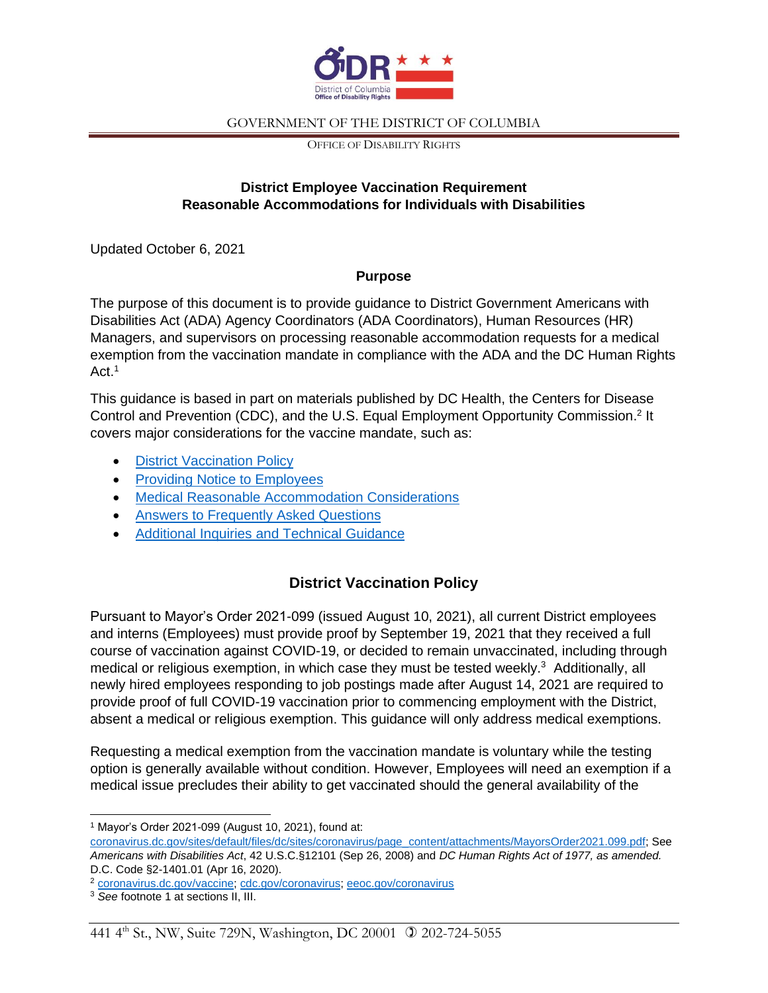

OFFICE OF DISABILITY RIGHTS

## **District Employee Vaccination Requirement Reasonable Accommodations for Individuals with Disabilities**

Updated October 6, 2021

### **Purpose**

The purpose of this document is to provide guidance to District Government Americans with Disabilities Act (ADA) Agency Coordinators (ADA Coordinators), Human Resources (HR) Managers, and supervisors on processing reasonable accommodation requests for a medical exemption from the vaccination mandate in compliance with the ADA and the DC Human Rights  $Act<sup>1</sup>$ 

This guidance is based in part on materials published by DC Health, the Centers for Disease Control and Prevention (CDC), and the U.S. Equal Employment Opportunity Commission.<sup>2</sup> It covers major considerations for the vaccine mandate, such as:

- [District Vaccination Policy](#page-0-0)
- [Providing Notice to Employees](#page-1-0)
- [Medical Reasonable Accommodation Considerations](#page-1-1)
- [Answers to Frequently Asked Questions](#page-2-0)
- [Additional Inquiries and Technical Guidance](#page-4-0)

# **District Vaccination Policy**

<span id="page-0-0"></span>Pursuant to Mayor's Order 2021-099 (issued August 10, 2021), all current District employees and interns (Employees) must provide proof by September 19, 2021 that they received a full course of vaccination against COVID-19, or decided to remain unvaccinated, including through medical or religious exemption, in which case they must be tested weekly.<sup>3</sup> Additionally, all newly hired employees responding to job postings made after August 14, 2021 are required to provide proof of full COVID-19 vaccination prior to commencing employment with the District, absent a medical or religious exemption. This guidance will only address medical exemptions.

Requesting a medical exemption from the vaccination mandate is voluntary while the testing option is generally available without condition. However, Employees will need an exemption if a medical issue precludes their ability to get vaccinated should the general availability of the

<sup>1</sup> Mayor's Order 2021-099 (August 10, 2021), found at:

[coronavirus.dc.gov/sites/default/files/dc/sites/coronavirus/page\\_content/attachments/MayorsOrder2021.099.pdf;](https://coronavirus.dc.gov/sites/default/files/dc/sites/coronavirus/page_content/attachments/MayorsOrder2021.099.pdf) See *Americans with Disabilities Act*, 42 U.S.C.§12101 (Sep 26, 2008) and *DC Human Rights Act of 1977, as amended.*  D.C. Code §2-1401.01 (Apr 16, 2020).

<sup>2</sup> [coronavirus.dc.gov/vaccine;](http://coronavirus.dc.gov/vaccine) [cdc.gov/coronavirus;](http://www.cdc.gov/coronavirus) [eeoc.gov/coronavirus](http://www.eeoc.gov/coronavirus)

<sup>3</sup> *See* footnote 1 at sections II, III.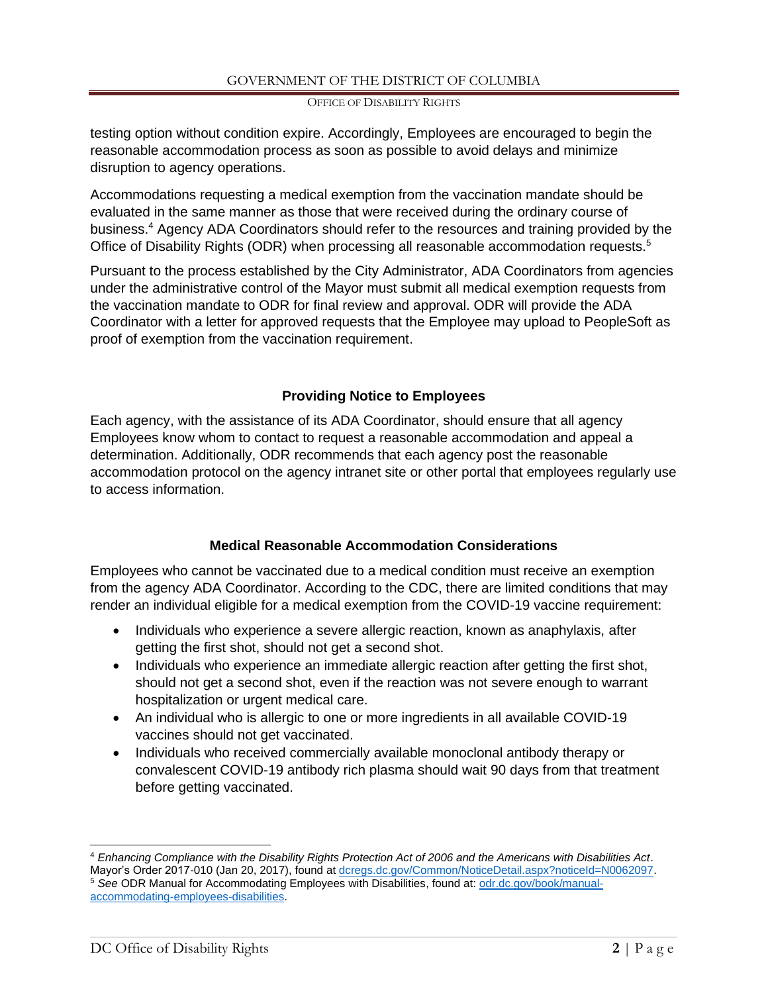OFFICE OF DISABILITY RIGHTS

testing option without condition expire. Accordingly, Employees are encouraged to begin the reasonable accommodation process as soon as possible to avoid delays and minimize disruption to agency operations.

Accommodations requesting a medical exemption from the vaccination mandate should be evaluated in the same manner as those that were received during the ordinary course of business. <sup>4</sup> Agency ADA Coordinators should refer to the resources and training provided by the Office of Disability Rights (ODR) when processing all reasonable accommodation requests.<sup>5</sup>

Pursuant to the process established by the City Administrator, ADA Coordinators from agencies under the administrative control of the Mayor must submit all medical exemption requests from the vaccination mandate to ODR for final review and approval. ODR will provide the ADA Coordinator with a letter for approved requests that the Employee may upload to PeopleSoft as proof of exemption from the vaccination requirement.

## **Providing Notice to Employees**

<span id="page-1-0"></span>Each agency, with the assistance of its ADA Coordinator, should ensure that all agency Employees know whom to contact to request a reasonable accommodation and appeal a determination. Additionally, ODR recommends that each agency post the reasonable accommodation protocol on the agency intranet site or other portal that employees regularly use to access information.

## **Medical Reasonable Accommodation Considerations**

<span id="page-1-1"></span>Employees who cannot be vaccinated due to a medical condition must receive an exemption from the agency ADA Coordinator. According to the CDC, there are limited conditions that may render an individual eligible for a medical exemption from the COVID-19 vaccine requirement:

- Individuals who experience a severe allergic reaction, known as anaphylaxis, after getting the first shot, should not get a second shot.
- Individuals who experience an immediate allergic reaction after getting the first shot, should not get a second shot, even if the reaction was not severe enough to warrant hospitalization or urgent medical care.
- An individual who is allergic to one or more ingredients in all available COVID-19 vaccines should not get vaccinated.
- Individuals who received commercially available monoclonal antibody therapy or convalescent COVID-19 antibody rich plasma should wait 90 days from that treatment before getting vaccinated.

<sup>4</sup> *Enhancing Compliance with the Disability Rights Protection Act of 2006 and the Americans with Disabilities Act*. Mayor's Order 2017-010 (Jan 20, 2017), found at [dcregs.dc.gov/Common/NoticeDetail.aspx?noticeId=N0062097.](https://www.dcregs.dc.gov/Common/NoticeDetail.aspx?noticeId=N0062097) <sup>5</sup> See ODR Manual for Accommodating Employees with Disabilities, found at: [odr.dc.gov/book/manual](https://odr.dc.gov/book/manual-accommodating-employees-disabilities)[accommodating-employees-disabilities.](https://odr.dc.gov/book/manual-accommodating-employees-disabilities)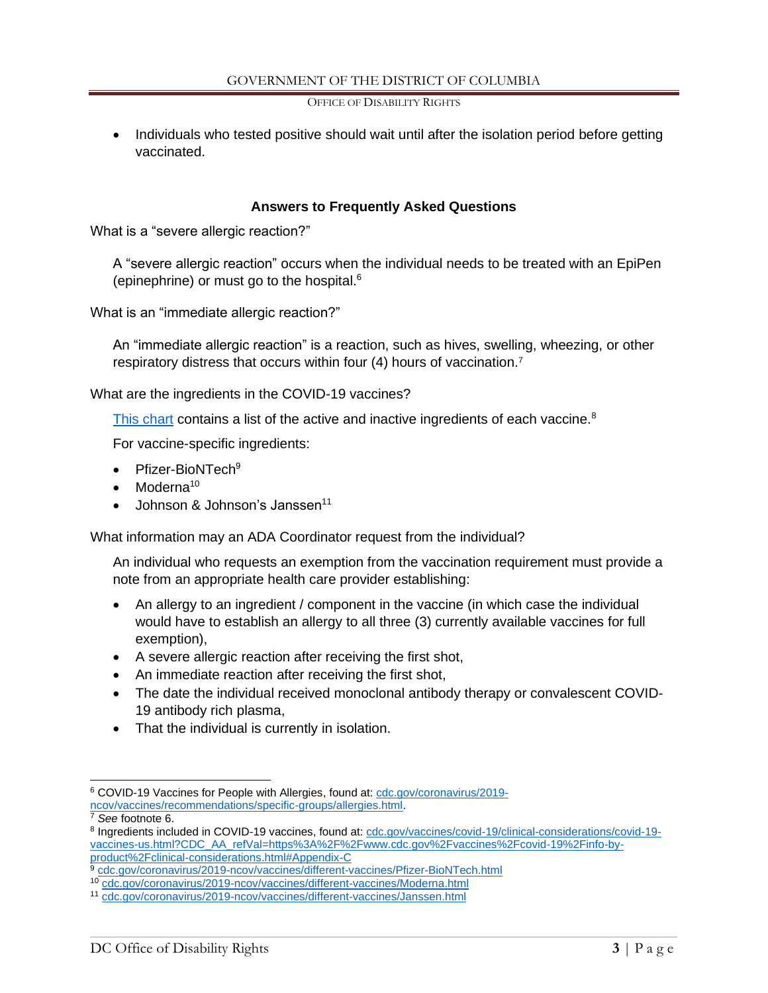OFFICE OF DISABILITY RIGHTS

• Individuals who tested positive should wait until after the isolation period before getting vaccinated.

### **Answers to Frequently Asked Questions**

<span id="page-2-0"></span>What is a "severe allergic reaction?"

A "severe allergic reaction" occurs when the individual needs to be treated with an EpiPen (epinephrine) or must go to the hospital.<sup>6</sup>

What is an "immediate allergic reaction?"

An "immediate allergic reaction" is a reaction, such as hives, swelling, wheezing, or other respiratory distress that occurs within four (4) hours of vaccination.<sup>7</sup>

What are the ingredients in the COVID-19 vaccines?

[This chart](https://www.cdc.gov/vaccines/covid-19/clinical-considerations/covid-19-vaccines-us.html?CDC_AA_refVal=https%3A%2F%2Fwww.cdc.gov%2Fvaccines%2Fcovid-19%2Finfo-by-product%2Fclinical-considerations.html#Appendix-C) contains a list of the active and inactive ingredients of each vaccine.<sup>8</sup>

For vaccine-specific ingredients:

- Pfizer-BioNTech<sup>9</sup>
- Moderna<sup>10</sup>
- Johnson & Johnson's Janssen<sup>11</sup>

What information may an ADA Coordinator request from the individual?

An individual who requests an exemption from the vaccination requirement must provide a note from an appropriate health care provider establishing:

- An allergy to an ingredient / component in the vaccine (in which case the individual would have to establish an allergy to all three (3) currently available vaccines for full exemption),
- A severe allergic reaction after receiving the first shot,
- An immediate reaction after receiving the first shot,
- The date the individual received monoclonal antibody therapy or convalescent COVID-19 antibody rich plasma,
- That the individual is currently in isolation.

<sup>6</sup> COVID-19 Vaccines for People with Allergies, found at: [cdc.gov/coronavirus/2019](https://www.cdc.gov/coronavirus/2019-ncov/vaccines/recommendations/specific-groups/allergies.html) [ncov/vaccines/recommendations/specific-groups/allergies.html.](https://www.cdc.gov/coronavirus/2019-ncov/vaccines/recommendations/specific-groups/allergies.html)

<sup>7</sup> *See* footnote 6.

<sup>8</sup> Ingredients included in COVID-19 vaccines, found at: [cdc.gov/vaccines/covid-19/clinical-considerations/covid-19](https://www.cdc.gov/vaccines/covid-19/clinical-considerations/covid-19-vaccines-us.html?CDC_AA_refVal=https%3A%2F%2Fwww.cdc.gov%2Fvaccines%2Fcovid-19%2Finfo-by-product%2Fclinical-considerations.html#Appendix-C) [vaccines-us.html?CDC\\_AA\\_refVal=https%3A%2F%2Fwww.cdc.gov%2Fvaccines%2Fcovid-19%2Finfo-by](https://www.cdc.gov/vaccines/covid-19/clinical-considerations/covid-19-vaccines-us.html?CDC_AA_refVal=https%3A%2F%2Fwww.cdc.gov%2Fvaccines%2Fcovid-19%2Finfo-by-product%2Fclinical-considerations.html#Appendix-C)[product%2Fclinical-considerations.html#Appendix-C](https://www.cdc.gov/vaccines/covid-19/clinical-considerations/covid-19-vaccines-us.html?CDC_AA_refVal=https%3A%2F%2Fwww.cdc.gov%2Fvaccines%2Fcovid-19%2Finfo-by-product%2Fclinical-considerations.html#Appendix-C)

<sup>9</sup> [cdc.gov/coronavirus/2019-ncov/vaccines/different-vaccines/Pfizer-BioNTech.html](https://www.cdc.gov/coronavirus/2019-ncov/vaccines/different-vaccines/Pfizer-BioNTech.html)

<sup>10</sup> [cdc.gov/coronavirus/2019-ncov/vaccines/different-vaccines/Moderna.html](https://www.cdc.gov/coronavirus/2019-ncov/vaccines/different-vaccines/Moderna.html)

<sup>11</sup> [cdc.gov/coronavirus/2019-ncov/vaccines/different-vaccines/Janssen.html](https://www.cdc.gov/coronavirus/2019-ncov/vaccines/different-vaccines/Janssen.html)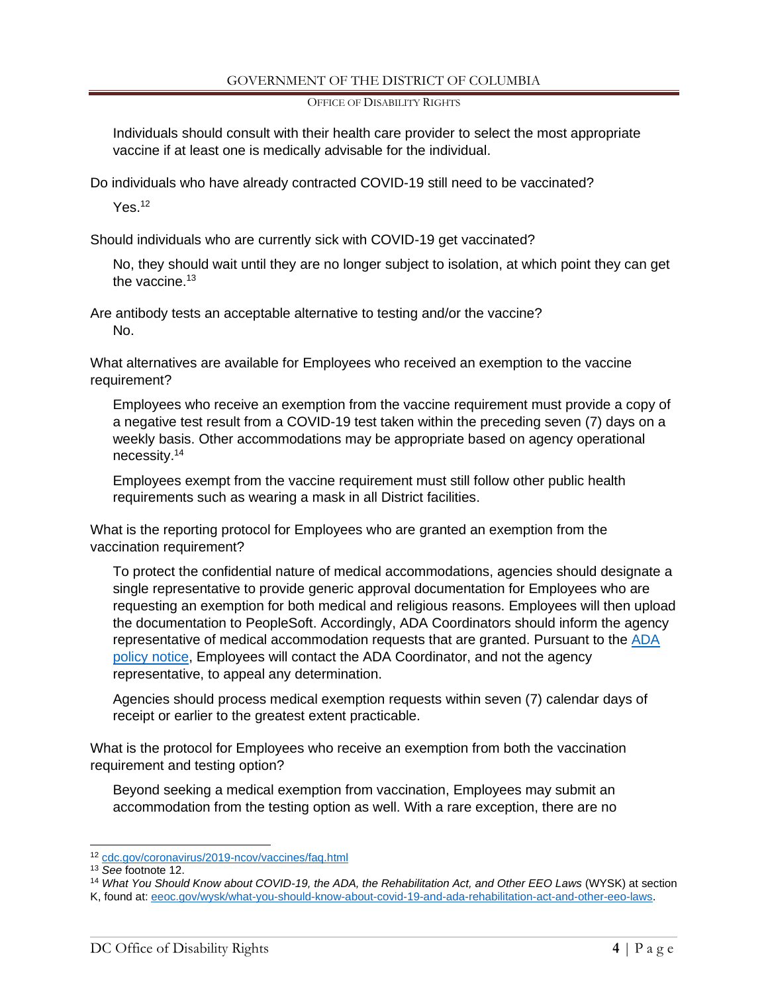OFFICE OF DISABILITY RIGHTS

Individuals should consult with their health care provider to select the most appropriate vaccine if at least one is medically advisable for the individual.

Do individuals who have already contracted COVID-19 still need to be vaccinated?

Yes.<sup>12</sup>

Should individuals who are currently sick with COVID-19 get vaccinated?

No, they should wait until they are no longer subject to isolation, at which point they can get the vaccine. $13$ 

Are antibody tests an acceptable alternative to testing and/or the vaccine? No.

What alternatives are available for Employees who received an exemption to the vaccine requirement?

Employees who receive an exemption from the vaccine requirement must provide a copy of a negative test result from a COVID-19 test taken within the preceding seven (7) days on a weekly basis. Other accommodations may be appropriate based on agency operational necessity. 14

Employees exempt from the vaccine requirement must still follow other public health requirements such as wearing a mask in all District facilities.

What is the reporting protocol for Employees who are granted an exemption from the vaccination requirement?

To protect the confidential nature of medical accommodations, agencies should designate a single representative to provide generic approval documentation for Employees who are requesting an exemption for both medical and religious reasons. Employees will then upload the documentation to PeopleSoft. Accordingly, ADA Coordinators should inform the agency representative of medical accommodation requests that are granted. Pursuant to the ADA [policy notice,](#page-1-0) Employees will contact the ADA Coordinator, and not the agency representative, to appeal any determination.

Agencies should process medical exemption requests within seven (7) calendar days of receipt or earlier to the greatest extent practicable.

What is the protocol for Employees who receive an exemption from both the vaccination requirement and testing option?

Beyond seeking a medical exemption from vaccination, Employees may submit an accommodation from the testing option as well. With a rare exception, there are no

<sup>14</sup> *What You Should Know about COVID-19, the ADA, the Rehabilitation Act, and Other EEO Laws* (WYSK) at section K, found at[: eeoc.gov/wysk/what-you-should-know-about-covid-19-and-ada-rehabilitation-act-and-other-eeo-laws.](https://www.eeoc.gov/wysk/what-you-should-know-about-covid-19-and-ada-rehabilitation-act-and-other-eeo-laws)

<sup>12</sup> [cdc.gov/coronavirus/2019-ncov/vaccines/faq.html](https://www.cdc.gov/coronavirus/2019-ncov/vaccines/faq.html)

<sup>13</sup> *See* footnote 12.